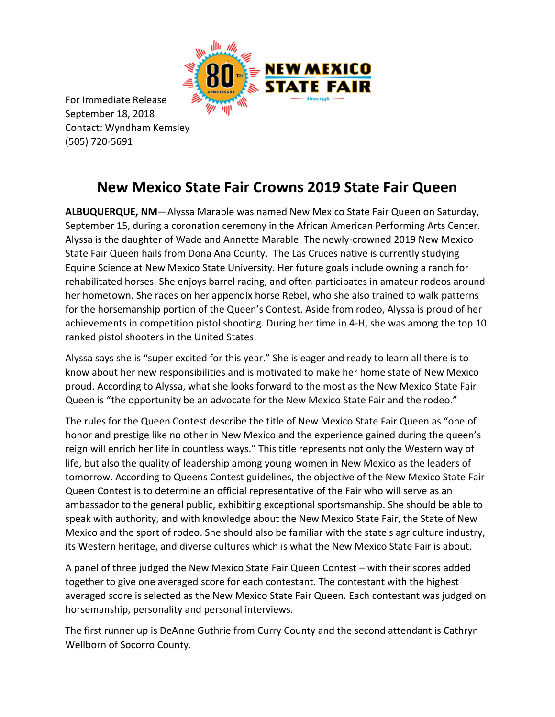

For Immediate Release September 18, 2018 Contact: Wyndham Kemsley (505) 720-5691

## **New Mexico State Fair Crowns 2019 State Fair Queen**

**ALBUQUERQUE, NM**—Alyssa Marable was named New Mexico State Fair Queen on Saturday, September 15, during a coronation ceremony in the African American Performing Arts Center. Alyssa is the daughter of Wade and Annette Marable. The newly-crowned 2019 New Mexico State Fair Queen hails from Dona Ana County. The Las Cruces native is currently studying Equine Science at New Mexico State University. Her future goals include owning a ranch for rehabilitated horses. She enjoys barrel racing, and often participates in amateur rodeos around her hometown. She races on her appendix horse Rebel, who she also trained to walk patterns for the horsemanship portion of the Queen's Contest. Aside from rodeo, Alyssa is proud of her achievements in competition pistol shooting. During her time in 4-H, she was among the top 10 ranked pistol shooters in the United States.

Alyssa says she is "super excited for this year." She is eager and ready to learn all there is to know about her new responsibilities and is motivated to make her home state of New Mexico proud. According to Alyssa, what she looks forward to the most as the New Mexico State Fair Queen is "the opportunity be an advocate for the New Mexico State Fair and the rodeo."

The rules for the Queen Contest describe the title of New Mexico State Fair Queen as "one of honor and prestige like no other in New Mexico and the experience gained during the queen's reign will enrich her life in countless ways." This title represents not only the Western way of life, but also the quality of leadership among young women in New Mexico as the leaders of tomorrow. According to Queens Contest guidelines, the objective of the New Mexico State Fair Queen Contest is to determine an official representative of the Fair who will serve as an ambassador to the general public, exhibiting exceptional sportsmanship. She should be able to speak with authority, and with knowledge about the New Mexico State Fair, the State of New Mexico and the sport of rodeo. She should also be familiar with the state's agriculture industry, its Western heritage, and diverse cultures which is what the New Mexico State Fair is about.

A panel of three judged the New Mexico State Fair Queen Contest – with their scores added together to give one averaged score for each contestant. The contestant with the highest averaged score is selected as the New Mexico State Fair Queen. Each contestant was judged on horsemanship, personality and personal interviews.

The first runner up is DeAnne Guthrie from Curry County and the second attendant is Cathryn Wellborn of Socorro County.